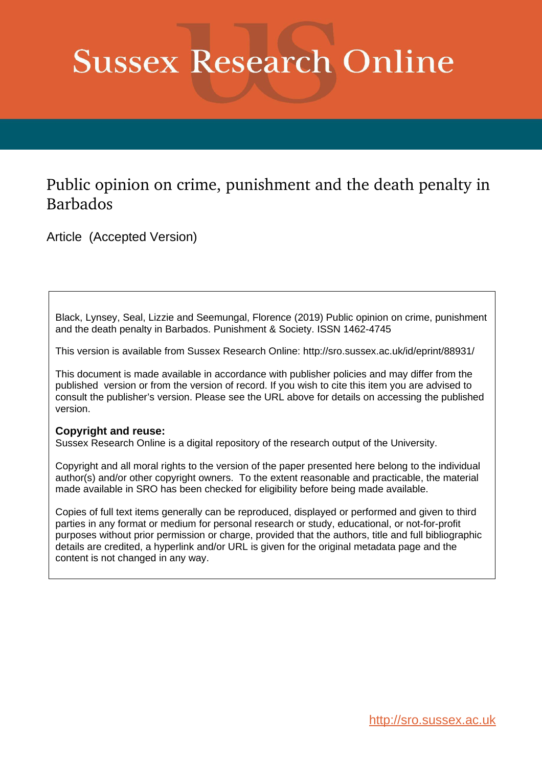# **Sussex Research Online**

# Public opinion on crime, punishment and the death penalty in Barbados

Article (Accepted Version)

Black, Lynsey, Seal, Lizzie and Seemungal, Florence (2019) Public opinion on crime, punishment and the death penalty in Barbados. Punishment & Society. ISSN 1462-4745

This version is available from Sussex Research Online: http://sro.sussex.ac.uk/id/eprint/88931/

This document is made available in accordance with publisher policies and may differ from the published version or from the version of record. If you wish to cite this item you are advised to consult the publisher's version. Please see the URL above for details on accessing the published version.

# **Copyright and reuse:**

Sussex Research Online is a digital repository of the research output of the University.

Copyright and all moral rights to the version of the paper presented here belong to the individual author(s) and/or other copyright owners. To the extent reasonable and practicable, the material made available in SRO has been checked for eligibility before being made available.

Copies of full text items generally can be reproduced, displayed or performed and given to third parties in any format or medium for personal research or study, educational, or not-for-profit purposes without prior permission or charge, provided that the authors, title and full bibliographic details are credited, a hyperlink and/or URL is given for the original metadata page and the content is not changed in any way.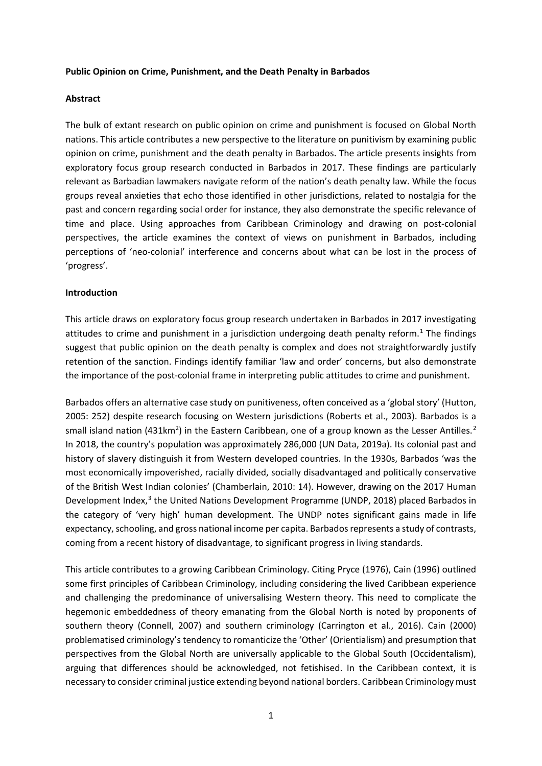#### **Public Opinion on Crime, Punishment, and the Death Penalty in Barbados**

#### **Abstract**

The bulk of extant research on public opinion on crime and punishment is focused on Global North nations. This article contributes a new perspective to the literature on punitivism by examining public opinion on crime, punishment and the death penalty in Barbados. The article presents insights from exploratory focus group research conducted in Barbados in 2017. These findings are particularly relevant as Barbadian lawmakers navigate reform of the nation's death penalty law. While the focus groups reveal anxieties that echo those identified in other jurisdictions, related to nostalgia for the past and concern regarding social order for instance, they also demonstrate the specific relevance of time and place. Using approaches from Caribbean Criminology and drawing on post-colonial perspectives, the article examines the context of views on punishment in Barbados, including perceptions of 'neo-colonial' interference and concerns about what can be lost in the process of 'progress'.

#### **Introduction**

This article draws on exploratory focus group research undertaken in Barbados in 2017 investigating attitudes to crime and punishment in a jurisdiction undergoing death penalty reform.<sup>[1](#page-2-0)</sup> The findings suggest that public opinion on the death penalty is complex and does not straightforwardly justify retention of the sanction. Findings identify familiar 'law and order' concerns, but also demonstrate the importance of the post-colonial frame in interpreting public attitudes to crime and punishment.

Barbados offers an alternative case study on punitiveness, often conceived as a 'global story' (Hutton, 2005: 252) despite research focusing on Western jurisdictions (Roberts et al., 2003). Barbados is a small island nation (431km<sup>[2](#page-2-1)</sup>) in the Eastern Caribbean, one of a group known as the Lesser Antilles.<sup>2</sup> In 2018, the country's population was approximately 286,000 (UN Data, 2019a). Its colonial past and history of slavery distinguish it from Western developed countries. In the 1930s, Barbados 'was the most economically impoverished, racially divided, socially disadvantaged and politically conservative of the British West Indian colonies' (Chamberlain, 2010: 14). However, drawing on the 2017 Human Development Index,<sup>[3](#page-2-2)</sup> the United Nations Development Programme (UNDP, 2018) placed Barbados in the category of 'very high' human development. The UNDP notes significant gains made in life expectancy, schooling, and gross national income per capita. Barbados represents a study of contrasts, coming from a recent history of disadvantage, to significant progress in living standards.

This article contributes to a growing Caribbean Criminology. Citing Pryce (1976), Cain (1996) outlined some first principles of Caribbean Criminology, including considering the lived Caribbean experience and challenging the predominance of universalising Western theory. This need to complicate the hegemonic embeddedness of theory emanating from the Global North is noted by proponents of southern theory (Connell, 2007) and southern criminology (Carrington et al., 2016). Cain (2000) problematised criminology's tendency to romanticize the 'Other' (Orientialism) and presumption that perspectives from the Global North are universally applicable to the Global South (Occidentalism), arguing that differences should be acknowledged, not fetishised. In the Caribbean context, it is necessary to consider criminal justice extending beyond national borders. Caribbean Criminology must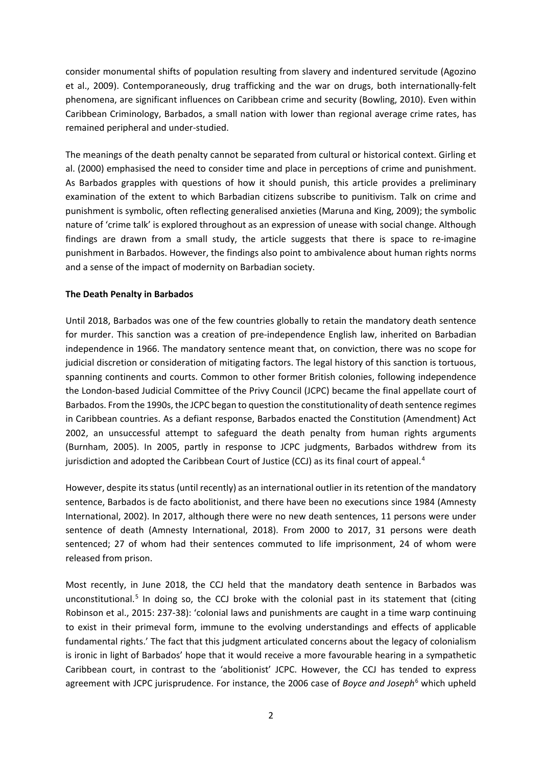consider monumental shifts of population resulting from slavery and indentured servitude (Agozino et al., 2009). Contemporaneously, drug trafficking and the war on drugs, both internationally-felt phenomena, are significant influences on Caribbean crime and security (Bowling, 2010). Even within Caribbean Criminology, Barbados, a small nation with lower than regional average crime rates, has remained peripheral and under-studied.

The meanings of the death penalty cannot be separated from cultural or historical context. Girling et al. (2000) emphasised the need to consider time and place in perceptions of crime and punishment. As Barbados grapples with questions of how it should punish, this article provides a preliminary examination of the extent to which Barbadian citizens subscribe to punitivism. Talk on crime and punishment is symbolic, often reflecting generalised anxieties (Maruna and King, 2009); the symbolic nature of 'crime talk' is explored throughout as an expression of unease with social change. Although findings are drawn from a small study, the article suggests that there is space to re-imagine punishment in Barbados. However, the findings also point to ambivalence about human rights norms and a sense of the impact of modernity on Barbadian society.

#### **The Death Penalty in Barbados**

Until 2018, Barbados was one of the few countries globally to retain the mandatory death sentence for murder. This sanction was a creation of pre-independence English law, inherited on Barbadian independence in 1966. The mandatory sentence meant that, on conviction, there was no scope for judicial discretion or consideration of mitigating factors. The legal history of this sanction is tortuous, spanning continents and courts. Common to other former British colonies, following independence the London-based Judicial Committee of the Privy Council (JCPC) became the final appellate court of Barbados. From the 1990s, the JCPC began to question the constitutionality of death sentence regimes in Caribbean countries. As a defiant response, Barbados enacted the Constitution (Amendment) Act 2002, an unsuccessful attempt to safeguard the death penalty from human rights arguments (Burnham, 2005). In 2005, partly in response to JCPC judgments, Barbados withdrew from its jurisdiction and adopted the Caribbean Court of Justice (CCJ) as its final court of appeal.<sup>[4](#page-2-3)</sup>

However, despite its status (until recently) as an international outlier in its retention of the mandatory sentence, Barbados is de facto abolitionist, and there have been no executions since 1984 (Amnesty International, 2002). In 2017, although there were no new death sentences, 11 persons were under sentence of death (Amnesty International, 2018). From 2000 to 2017, 31 persons were death sentenced; 27 of whom had their sentences commuted to life imprisonment, 24 of whom were released from prison.

<span id="page-2-7"></span><span id="page-2-6"></span><span id="page-2-5"></span><span id="page-2-4"></span><span id="page-2-3"></span><span id="page-2-2"></span><span id="page-2-1"></span><span id="page-2-0"></span>Most recently, in June 2018, the CCJ held that the mandatory death sentence in Barbados was unconstitutional.<sup>[5](#page-2-4)</sup> In doing so, the CCJ broke with the colonial past in its statement that (citing Robinson et al., 2015: 237-38): 'colonial laws and punishments are caught in a time warp continuing to exist in their primeval form, immune to the evolving understandings and effects of applicable fundamental rights.' The fact that this judgment articulated concerns about the legacy of colonialism is ironic in light of Barbados' hope that it would receive a more favourable hearing in a sympathetic Caribbean court, in contrast to the 'abolitionist' JCPC. However, the CCJ has tended to express agreement with JCPC jurisprudence. For instance, the 200[6](#page-2-5) case of *Boyce and Joseph*<sup>6</sup> which upheld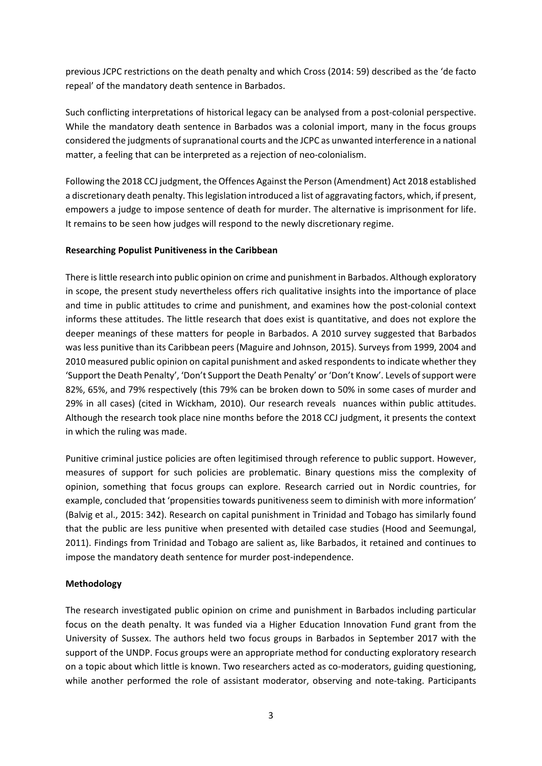<span id="page-3-0"></span>previous JCPC restrictions on the death penalty and which Cross (2014: 59) described as the 'de facto repeal' of the mandatory death sentence in Barbados.

<span id="page-3-1"></span>Such conflicting interpretations of historical legacy can be analysed from a post-colonial perspective. While the mandatory death sentence in Barbados was a colonial import, many in the focus groups considered the judgments of supranational courts and the JCPC as unwanted interference in a national matter, a feeling that can be interpreted as a rejection of neo-colonialism.

Following the 2018 CCJ judgment, the Offences Against the Person (Amendment) Act 2018 established a discretionary death penalty. Thislegislation introduced a list of aggravating factors, which, if present, empowers a judge to impose sentence of death for murder. The alternative is imprisonment for life. It remains to be seen how judges will respond to the newly discretionary regime.

#### **Researching Populist Punitiveness in the Caribbean**

There is little research into public opinion on crime and punishment in Barbados. Although exploratory in scope, the present study nevertheless offers rich qualitative insights into the importance of place and time in public attitudes to crime and punishment, and examines how the post-colonial context informs these attitudes. The little research that does exist is quantitative, and does not explore the deeper meanings of these matters for people in Barbados. A 2010 survey suggested that Barbados was less punitive than its Caribbean peers (Maguire and Johnson, 2015). Surveys from 1999, 2004 and 2010 measured public opinion on capital punishment and asked respondents to indicate whether they 'Support the Death Penalty', 'Don't Support the Death Penalty' or 'Don't Know'. Levels of support were 82%, 65%, and 79% respectively (this 79% can be broken down to 50% in some cases of murder and 29% in all cases) (cited in Wickham, 2010). Our research reveals nuances within public attitudes. Although the research took place nine months before the 2018 CCJ judgment, it presents the context in which the ruling was made.

Punitive criminal justice policies are often legitimised through reference to public support. However, measures of support for such policies are problematic. Binary questions miss the complexity of opinion, something that focus groups can explore. Research carried out in Nordic countries, for example, concluded that 'propensities towards punitiveness seem to diminish with more information' (Balvig et al., 2015: 342). Research on capital punishment in Trinidad and Tobago has similarly found that the public are less punitive when presented with detailed case studies (Hood and Seemungal, 2011). Findings from Trinidad and Tobago are salient as, like Barbados, it retained and continues to impose the mandatory death sentence for murder post-independence.

#### **Methodology**

The research investigated public opinion on crime and punishment in Barbados including particular focus on the death penalty. It was funded via a Higher Education Innovation Fund grant from the University of Sussex. The authors held two focus groups in Barbados in September 2017 with the support of the UNDP. Focus groups were an appropriate method for conducting exploratory research on a topic about which little is known. Two researchers acted as co-moderators, guiding questioning, while another performed the role of assistant moderator, observing and note-taking. Participants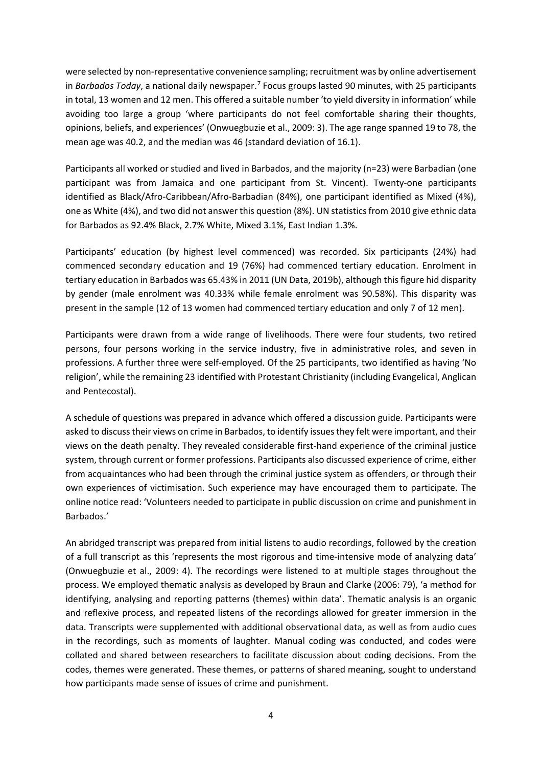were selected by non-representative convenience sampling; recruitment was by online advertisement in *Barbados Today*, a national daily newspaper. [7](#page-2-6) Focus groups lasted 90 minutes, with 25 participants in total, 13 women and 12 men. This offered a suitable number 'to yield diversity in information' while avoiding too large a group 'where participants do not feel comfortable sharing their thoughts, opinions, beliefs, and experiences' (Onwuegbuzie et al., 2009: 3). The age range spanned 19 to 78, the mean age was 40.2, and the median was 46 (standard deviation of 16.1).

Participants all worked or studied and lived in Barbados, and the majority (n=23) were Barbadian (one participant was from Jamaica and one participant from St. Vincent). Twenty-one participants identified as Black/Afro-Caribbean/Afro-Barbadian (84%), one participant identified as Mixed (4%), one as White (4%), and two did not answer this question (8%). UN statistics from 2010 give ethnic data for Barbados as 92.4% Black, 2.7% White, Mixed 3.1%, East Indian 1.3%.

Participants' education (by highest level commenced) was recorded. Six participants (24%) had commenced secondary education and 19 (76%) had commenced tertiary education. Enrolment in tertiary education in Barbados was 65.43% in 2011 (UN Data, 2019b), although this figure hid disparity by gender (male enrolment was 40.33% while female enrolment was 90.58%). This disparity was present in the sample (12 of 13 women had commenced tertiary education and only 7 of 12 men).

Participants were drawn from a wide range of livelihoods. There were four students, two retired persons, four persons working in the service industry, five in administrative roles, and seven in professions. A further three were self-employed. Of the 25 participants, two identified as having 'No religion', while the remaining 23 identified with Protestant Christianity (including Evangelical, Anglican and Pentecostal).

A schedule of questions was prepared in advance which offered a discussion guide. Participants were asked to discuss their views on crime in Barbados, to identify issues they felt were important, and their views on the death penalty. They revealed considerable first-hand experience of the criminal justice system, through current or former professions. Participants also discussed experience of crime, either from acquaintances who had been through the criminal justice system as offenders, or through their own experiences of victimisation. Such experience may have encouraged them to participate. The online notice read: 'Volunteers needed to participate in public discussion on crime and punishment in Barbados.'

An abridged transcript was prepared from initial listens to audio recordings, followed by the creation of a full transcript as this 'represents the most rigorous and time-intensive mode of analyzing data' (Onwuegbuzie et al., 2009: 4). The recordings were listened to at multiple stages throughout the process. We employed thematic analysis as developed by Braun and Clarke (2006: 79), 'a method for identifying, analysing and reporting patterns (themes) within data'. Thematic analysis is an organic and reflexive process, and repeated listens of the recordings allowed for greater immersion in the data. Transcripts were supplemented with additional observational data, as well as from audio cues in the recordings, such as moments of laughter. Manual coding was conducted, and codes were collated and shared between researchers to facilitate discussion about coding decisions. From the codes, themes were generated. These themes, or patterns of shared meaning, sought to understand how participants made sense of issues of crime and punishment.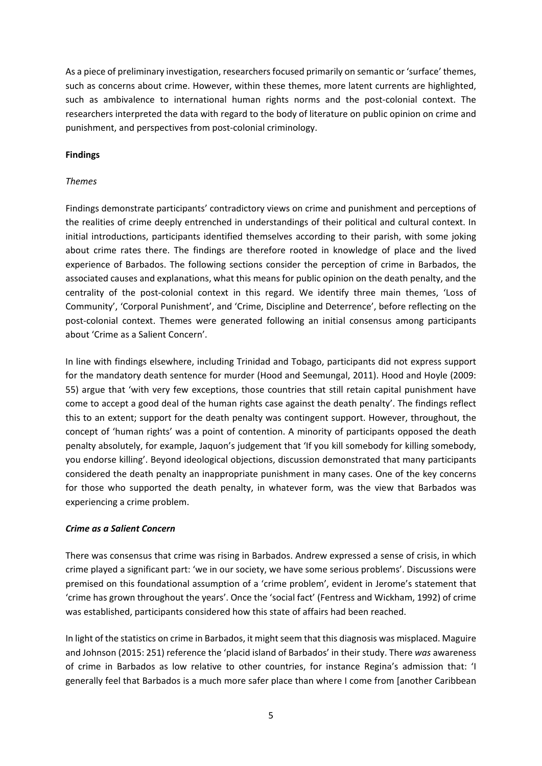As a piece of preliminary investigation, researchers focused primarily on semantic or 'surface' themes, such as concerns about crime. However, within these themes, more latent currents are highlighted, such as ambivalence to international human rights norms and the post-colonial context. The researchers interpreted the data with regard to the body of literature on public opinion on crime and punishment, and perspectives from post-colonial criminology.

#### **Findings**

#### *Themes*

Findings demonstrate participants' contradictory views on crime and punishment and perceptions of the realities of crime deeply entrenched in understandings of their political and cultural context. In initial introductions, participants identified themselves according to their parish, with some joking about crime rates there. The findings are therefore rooted in knowledge of place and the lived experience of Barbados. The following sections consider the perception of crime in Barbados, the associated causes and explanations, what this means for public opinion on the death penalty, and the centrality of the post-colonial context in this regard. We identify three main themes, 'Loss of Community', 'Corporal Punishment', and 'Crime, Discipline and Deterrence', before reflecting on the post-colonial context. Themes were generated following an initial consensus among participants about 'Crime as a Salient Concern'.

In line with findings elsewhere, including Trinidad and Tobago, participants did not express support for the mandatory death sentence for murder (Hood and Seemungal, 2011). Hood and Hoyle (2009: 55) argue that 'with very few exceptions, those countries that still retain capital punishment have come to accept a good deal of the human rights case against the death penalty'. The findings reflect this to an extent; support for the death penalty was contingent support. However, throughout, the concept of 'human rights' was a point of contention. A minority of participants opposed the death penalty absolutely, for example, Jaquon's judgement that 'If you kill somebody for killing somebody, you endorse killing'. Beyond ideological objections, discussion demonstrated that many participants considered the death penalty an inappropriate punishment in many cases. One of the key concerns for those who supported the death penalty, in whatever form, was the view that Barbados was experiencing a crime problem.

#### *Crime as a Salient Concern*

There was consensus that crime was rising in Barbados. Andrew expressed a sense of crisis, in which crime played a significant part: 'we in our society, we have some serious problems'. Discussions were premised on this foundational assumption of a 'crime problem', evident in Jerome's statement that 'crime has grown throughout the years'. Once the 'social fact' (Fentress and Wickham, 1992) of crime was established, participants considered how this state of affairs had been reached.

In light of the statistics on crime in Barbados, it might seem that this diagnosis was misplaced. Maguire and Johnson (2015: 251) reference the 'placid island of Barbados' in their study. There *was* awareness of crime in Barbados as low relative to other countries, for instance Regina's admission that: 'I generally feel that Barbados is a much more safer place than where I come from [another Caribbean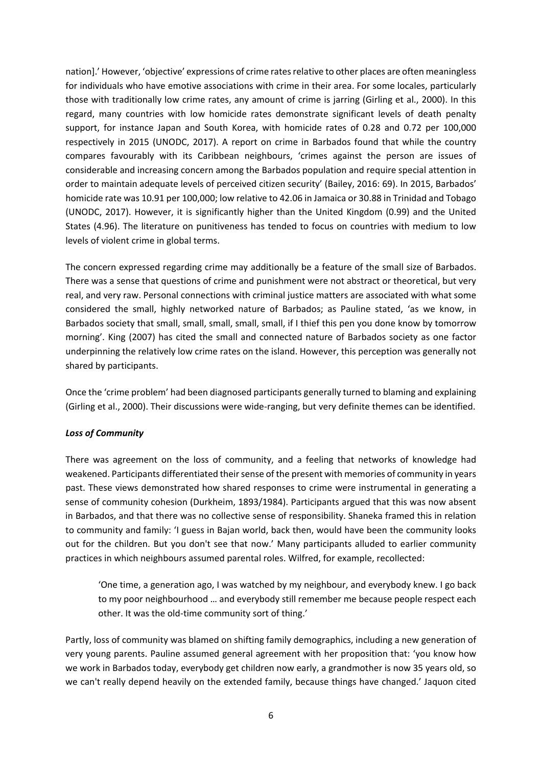nation].' However, 'objective' expressions of crime rates relative to other places are often meaningless for individuals who have emotive associations with crime in their area. For some locales, particularly those with traditionally low crime rates, any amount of crime is jarring (Girling et al., 2000). In this regard, many countries with low homicide rates demonstrate significant levels of death penalty support, for instance Japan and South Korea, with homicide rates of 0.28 and 0.72 per 100,000 respectively in 2015 (UNODC, 2017). A report on crime in Barbados found that while the country compares favourably with its Caribbean neighbours, 'crimes against the person are issues of considerable and increasing concern among the Barbados population and require special attention in order to maintain adequate levels of perceived citizen security' (Bailey, 2016: 69). In 2015, Barbados' homicide rate was 10.91 per 100,000; low relative to 42.06 in Jamaica or 30.88 in Trinidad and Tobago (UNODC, 2017). However, it is significantly higher than the United Kingdom (0.99) and the United States (4.96). The literature on punitiveness has tended to focus on countries with medium to low levels of violent crime in global terms.

The concern expressed regarding crime may additionally be a feature of the small size of Barbados. There was a sense that questions of crime and punishment were not abstract or theoretical, but very real, and very raw. Personal connections with criminal justice matters are associated with what some considered the small, highly networked nature of Barbados; as Pauline stated, 'as we know, in Barbados society that small, small, small, small, small, if I thief this pen you done know by tomorrow morning'. King (2007) has cited the small and connected nature of Barbados society as one factor underpinning the relatively low crime rates on the island. However, this perception was generally not shared by participants.

Once the 'crime problem' had been diagnosed participants generally turned to blaming and explaining (Girling et al., 2000). Their discussions were wide-ranging, but very definite themes can be identified.

## *Loss of Community*

There was agreement on the loss of community, and a feeling that networks of knowledge had weakened. Participants differentiated their sense of the present with memories of community in years past. These views demonstrated how shared responses to crime were instrumental in generating a sense of community cohesion (Durkheim, 1893/1984). Participants argued that this was now absent in Barbados, and that there was no collective sense of responsibility. Shaneka framed this in relation to community and family: 'I guess in Bajan world, back then, would have been the community looks out for the children. But you don't see that now.' Many participants alluded to earlier community practices in which neighbours assumed parental roles. Wilfred, for example, recollected:

'One time, a generation ago, I was watched by my neighbour, and everybody knew. I go back to my poor neighbourhood … and everybody still remember me because people respect each other. It was the old-time community sort of thing.'

Partly, loss of community was blamed on shifting family demographics, including a new generation of very young parents. Pauline assumed general agreement with her proposition that: 'you know how we work in Barbados today, everybody get children now early, a grandmother is now 35 years old, so we can't really depend heavily on the extended family, because things have changed.' Jaquon cited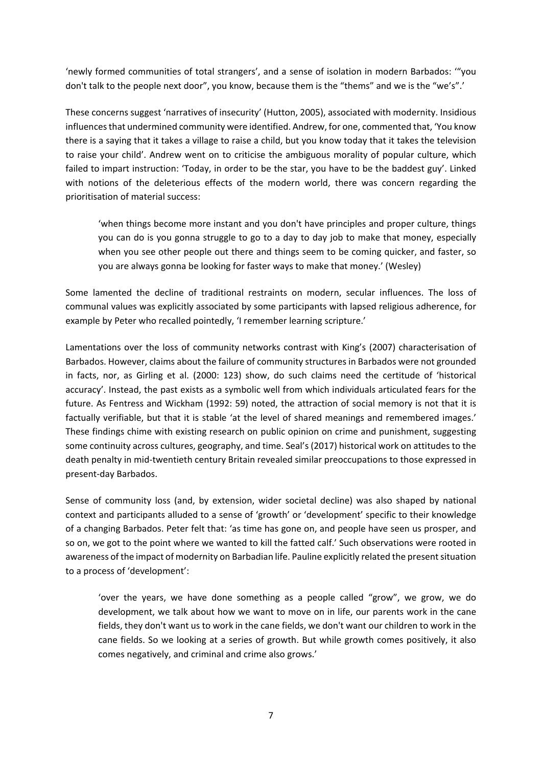'newly formed communities of total strangers', and a sense of isolation in modern Barbados: '"you don't talk to the people next door", you know, because them is the "thems" and we is the "we's".'

These concerns suggest 'narratives of insecurity' (Hutton, 2005), associated with modernity. Insidious influences that undermined community were identified. Andrew, for one, commented that, 'You know there is a saying that it takes a village to raise a child, but you know today that it takes the television to raise your child'. Andrew went on to criticise the ambiguous morality of popular culture, which failed to impart instruction: 'Today, in order to be the star, you have to be the baddest guy'. Linked with notions of the deleterious effects of the modern world, there was concern regarding the prioritisation of material success:

'when things become more instant and you don't have principles and proper culture, things you can do is you gonna struggle to go to a day to day job to make that money, especially when you see other people out there and things seem to be coming quicker, and faster, so you are always gonna be looking for faster ways to make that money.' (Wesley)

Some lamented the decline of traditional restraints on modern, secular influences. The loss of communal values was explicitly associated by some participants with lapsed religious adherence, for example by Peter who recalled pointedly, 'I remember learning scripture.'

Lamentations over the loss of community networks contrast with King's (2007) characterisation of Barbados. However, claims about the failure of community structures in Barbados were not grounded in facts, nor, as Girling et al. (2000: 123) show, do such claims need the certitude of 'historical accuracy'. Instead, the past exists as a symbolic well from which individuals articulated fears for the future. As Fentress and Wickham (1992: 59) noted, the attraction of social memory is not that it is factually verifiable, but that it is stable 'at the level of shared meanings and remembered images.' These findings chime with existing research on public opinion on crime and punishment, suggesting some continuity across cultures, geography, and time. Seal's (2017) historical work on attitudes to the death penalty in mid-twentieth century Britain revealed similar preoccupations to those expressed in present-day Barbados.

Sense of community loss (and, by extension, wider societal decline) was also shaped by national context and participants alluded to a sense of 'growth' or 'development' specific to their knowledge of a changing Barbados. Peter felt that: 'as time has gone on, and people have seen us prosper, and so on, we got to the point where we wanted to kill the fatted calf.' Such observations were rooted in awareness of the impact of modernity on Barbadian life. Pauline explicitly related the present situation to a process of 'development':

'over the years, we have done something as a people called "grow", we grow, we do development, we talk about how we want to move on in life, our parents work in the cane fields, they don't want us to work in the cane fields, we don't want our children to work in the cane fields. So we looking at a series of growth. But while growth comes positively, it also comes negatively, and criminal and crime also grows.'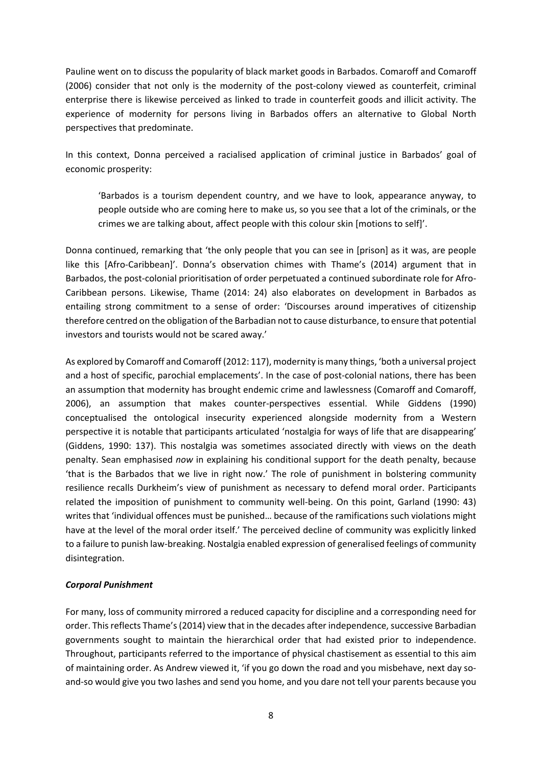Pauline went on to discuss the popularity of black market goods in Barbados. Comaroff and Comaroff (2006) consider that not only is the modernity of the post-colony viewed as counterfeit, criminal enterprise there is likewise perceived as linked to trade in counterfeit goods and illicit activity. The experience of modernity for persons living in Barbados offers an alternative to Global North perspectives that predominate.

In this context, Donna perceived a racialised application of criminal justice in Barbados' goal of economic prosperity:

'Barbados is a tourism dependent country, and we have to look, appearance anyway, to people outside who are coming here to make us, so you see that a lot of the criminals, or the crimes we are talking about, affect people with this colour skin [motions to self]'.

Donna continued, remarking that 'the only people that you can see in [prison] as it was, are people like this [Afro-Caribbean]'. Donna's observation chimes with Thame's (2014) argument that in Barbados, the post-colonial prioritisation of order perpetuated a continued subordinate role for Afro-Caribbean persons. Likewise, Thame (2014: 24) also elaborates on development in Barbados as entailing strong commitment to a sense of order: 'Discourses around imperatives of citizenship therefore centred on the obligation of the Barbadian not to cause disturbance, to ensure that potential investors and tourists would not be scared away.'

As explored by Comaroff and Comaroff (2012: 117), modernity is many things, 'both a universal project and a host of specific, parochial emplacements'. In the case of post-colonial nations, there has been an assumption that modernity has brought endemic crime and lawlessness (Comaroff and Comaroff, 2006), an assumption that makes counter-perspectives essential. While Giddens (1990) conceptualised the ontological insecurity experienced alongside modernity from a Western perspective it is notable that participants articulated 'nostalgia for ways of life that are disappearing' (Giddens, 1990: 137). This nostalgia was sometimes associated directly with views on the death penalty. Sean emphasised *now* in explaining his conditional support for the death penalty, because 'that is the Barbados that we live in right now.' The role of punishment in bolstering community resilience recalls Durkheim's view of punishment as necessary to defend moral order. Participants related the imposition of punishment to community well-being. On this point, Garland (1990: 43) writes that 'individual offences must be punished… because of the ramifications such violations might have at the level of the moral order itself.' The perceived decline of community was explicitly linked to a failure to punish law-breaking. Nostalgia enabled expression of generalised feelings of community disintegration.

#### *Corporal Punishment*

For many, loss of community mirrored a reduced capacity for discipline and a corresponding need for order. This reflects Thame's (2014) view that in the decades after independence, successive Barbadian governments sought to maintain the hierarchical order that had existed prior to independence. Throughout, participants referred to the importance of physical chastisement as essential to this aim of maintaining order. As Andrew viewed it, 'if you go down the road and you misbehave, next day soand-so would give you two lashes and send you home, and you dare not tell your parents because you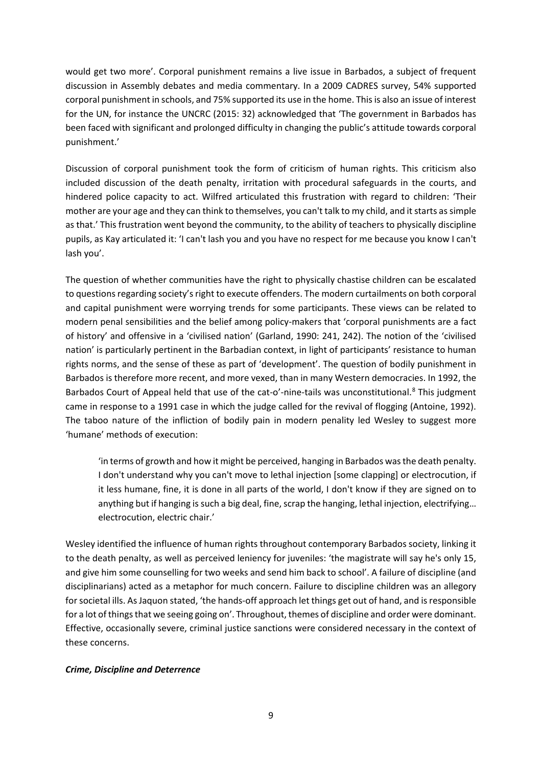would get two more'. Corporal punishment remains a live issue in Barbados, a subject of frequent discussion in Assembly debates and media commentary. In a 2009 CADRES survey, 54% supported corporal punishment in schools, and 75% supported its use in the home. This is also an issue of interest for the UN, for instance the UNCRC (2015: 32) acknowledged that 'The government in Barbados has been faced with significant and prolonged difficulty in changing the public's attitude towards corporal punishment.'

Discussion of corporal punishment took the form of criticism of human rights. This criticism also included discussion of the death penalty, irritation with procedural safeguards in the courts, and hindered police capacity to act. Wilfred articulated this frustration with regard to children: 'Their mother are your age and they can think to themselves, you can't talk to my child, and it starts as simple as that.' This frustration went beyond the community, to the ability of teachers to physically discipline pupils, as Kay articulated it: 'I can't lash you and you have no respect for me because you know I can't lash you'.

The question of whether communities have the right to physically chastise children can be escalated to questions regarding society's right to execute offenders. The modern curtailments on both corporal and capital punishment were worrying trends for some participants. These views can be related to modern penal sensibilities and the belief among policy-makers that 'corporal punishments are a fact of history' and offensive in a 'civilised nation' (Garland, 1990: 241, 242). The notion of the 'civilised nation' is particularly pertinent in the Barbadian context, in light of participants' resistance to human rights norms, and the sense of these as part of 'development'. The question of bodily punishment in Barbados is therefore more recent, and more vexed, than in many Western democracies. In 1992, the Barbados Court of Appeal held that use of the cat-o'-nine-tails was unconstitutional.<sup>[8](#page-2-7)</sup> This judgment came in response to a 1991 case in which the judge called for the revival of flogging (Antoine, 1992). The taboo nature of the infliction of bodily pain in modern penality led Wesley to suggest more 'humane' methods of execution:

'in terms of growth and how it might be perceived, hanging in Barbados was the death penalty. I don't understand why you can't move to lethal injection [some clapping] or electrocution, if it less humane, fine, it is done in all parts of the world, I don't know if they are signed on to anything but if hanging is such a big deal, fine, scrap the hanging, lethal injection, electrifying… electrocution, electric chair.'

Wesley identified the influence of human rights throughout contemporary Barbados society, linking it to the death penalty, as well as perceived leniency for juveniles: 'the magistrate will say he's only 15, and give him some counselling for two weeks and send him back to school'. A failure of discipline (and disciplinarians) acted as a metaphor for much concern. Failure to discipline children was an allegory for societal ills. As Jaquon stated, 'the hands-off approach let things get out of hand, and is responsible for a lot of things that we seeing going on'. Throughout, themes of discipline and order were dominant. Effective, occasionally severe, criminal justice sanctions were considered necessary in the context of these concerns.

#### *Crime, Discipline and Deterrence*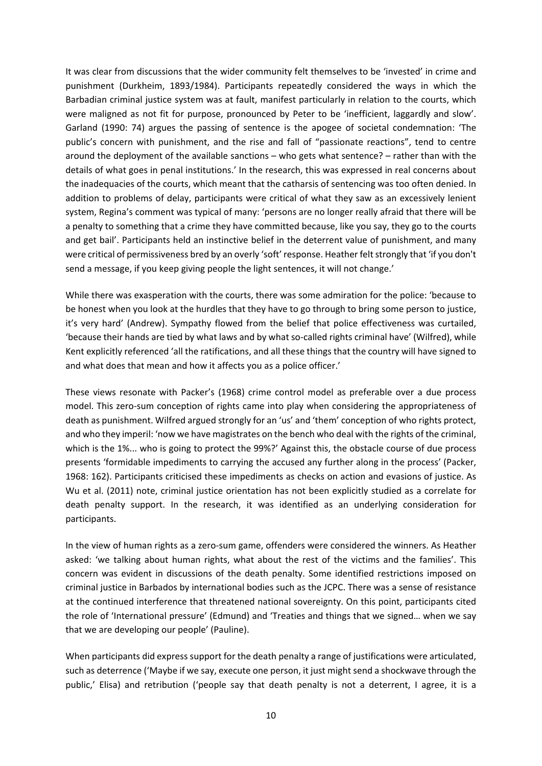It was clear from discussions that the wider community felt themselves to be 'invested' in crime and punishment (Durkheim, 1893/1984). Participants repeatedly considered the ways in which the Barbadian criminal justice system was at fault, manifest particularly in relation to the courts, which were maligned as not fit for purpose, pronounced by Peter to be 'inefficient, laggardly and slow'. Garland (1990: 74) argues the passing of sentence is the apogee of societal condemnation: 'The public's concern with punishment, and the rise and fall of "passionate reactions", tend to centre around the deployment of the available sanctions – who gets what sentence? – rather than with the details of what goes in penal institutions.' In the research, this was expressed in real concerns about the inadequacies of the courts, which meant that the catharsis of sentencing was too often denied. In addition to problems of delay, participants were critical of what they saw as an excessively lenient system, Regina's comment was typical of many: 'persons are no longer really afraid that there will be a penalty to something that a crime they have committed because, like you say, they go to the courts and get bail'. Participants held an instinctive belief in the deterrent value of punishment, and many were critical of permissiveness bred by an overly 'soft' response. Heather felt strongly that 'if you don't send a message, if you keep giving people the light sentences, it will not change.'

While there was exasperation with the courts, there was some admiration for the police: 'because to be honest when you look at the hurdles that they have to go through to bring some person to justice, it's very hard' (Andrew). Sympathy flowed from the belief that police effectiveness was curtailed, 'because their hands are tied by what laws and by what so-called rights criminal have' (Wilfred), while Kent explicitly referenced 'all the ratifications, and all these things that the country will have signed to and what does that mean and how it affects you as a police officer.'

These views resonate with Packer's (1968) crime control model as preferable over a due process model. This zero-sum conception of rights came into play when considering the appropriateness of death as punishment. Wilfred argued strongly for an 'us' and 'them' conception of who rights protect, and who they imperil: 'now we have magistrates on the bench who deal with the rights of the criminal, which is the 1%... who is going to protect the 99%?' Against this, the obstacle course of due process presents 'formidable impediments to carrying the accused any further along in the process' (Packer, 1968: 162). Participants criticised these impediments as checks on action and evasions of justice. As Wu et al. (2011) note, criminal justice orientation has not been explicitly studied as a correlate for death penalty support. In the research, it was identified as an underlying consideration for participants.

In the view of human rights as a zero-sum game, offenders were considered the winners. As Heather asked: 'we talking about human rights, what about the rest of the victims and the families'. This concern was evident in discussions of the death penalty. Some identified restrictions imposed on criminal justice in Barbados by international bodies such as the JCPC. There was a sense of resistance at the continued interference that threatened national sovereignty. On this point, participants cited the role of 'International pressure' (Edmund) and 'Treaties and things that we signed… when we say that we are developing our people' (Pauline).

When participants did express support for the death penalty a range of justifications were articulated, such as deterrence ('Maybe if we say, execute one person, it just might send a shockwave through the public,' Elisa) and retribution ('people say that death penalty is not a deterrent, I agree, it is a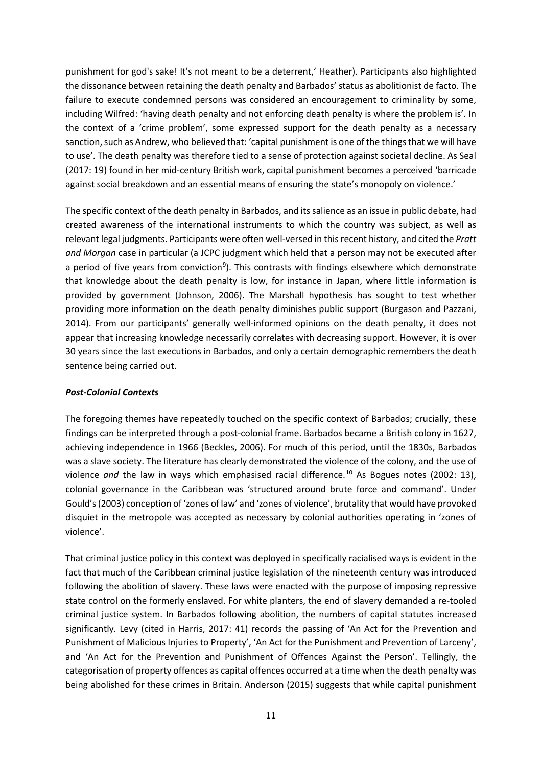punishment for god's sake! It's not meant to be a deterrent,' Heather). Participants also highlighted the dissonance between retaining the death penalty and Barbados' status as abolitionist de facto. The failure to execute condemned persons was considered an encouragement to criminality by some, including Wilfred: 'having death penalty and not enforcing death penalty is where the problem is'. In the context of a 'crime problem', some expressed support for the death penalty as a necessary sanction, such as Andrew, who believed that: 'capital punishment is one of the things that we will have to use'. The death penalty was therefore tied to a sense of protection against societal decline. As Seal (2017: 19) found in her mid-century British work, capital punishment becomes a perceived 'barricade against social breakdown and an essential means of ensuring the state's monopoly on violence.'

The specific context of the death penalty in Barbados, and its salience as an issue in public debate, had created awareness of the international instruments to which the country was subject, as well as relevant legal judgments. Participants were often well-versed in this recent history, and cited the *Pratt and Morgan* case in particular (a JCPC judgment which held that a person may not be executed after a period of five years from conviction<sup>[9](#page-3-0)</sup>). This contrasts with findings elsewhere which demonstrate that knowledge about the death penalty is low, for instance in Japan, where little information is provided by government (Johnson, 2006). The Marshall hypothesis has sought to test whether providing more information on the death penalty diminishes public support (Burgason and Pazzani, 2014). From our participants' generally well-informed opinions on the death penalty, it does not appear that increasing knowledge necessarily correlates with decreasing support. However, it is over 30 years since the last executions in Barbados, and only a certain demographic remembers the death sentence being carried out.

## *Post-Colonial Contexts*

The foregoing themes have repeatedly touched on the specific context of Barbados; crucially, these findings can be interpreted through a post-colonial frame. Barbados became a British colony in 1627, achieving independence in 1966 (Beckles, 2006). For much of this period, until the 1830s, Barbados was a slave society. The literature has clearly demonstrated the violence of the colony, and the use of violence and the law in ways which emphasised racial difference.<sup>[10](#page-3-1)</sup> As Bogues notes (2002: 13), colonial governance in the Caribbean was 'structured around brute force and command'. Under Gould's (2003) conception of 'zones of law' and 'zones of violence', brutality that would have provoked disquiet in the metropole was accepted as necessary by colonial authorities operating in 'zones of violence'.

That criminal justice policy in this context was deployed in specifically racialised ways is evident in the fact that much of the Caribbean criminal justice legislation of the nineteenth century was introduced following the abolition of slavery. These laws were enacted with the purpose of imposing repressive state control on the formerly enslaved. For white planters, the end of slavery demanded a re-tooled criminal justice system. In Barbados following abolition, the numbers of capital statutes increased significantly. Levy (cited in Harris, 2017: 41) records the passing of 'An Act for the Prevention and Punishment of Malicious Injuries to Property', 'An Act for the Punishment and Prevention of Larceny', and 'An Act for the Prevention and Punishment of Offences Against the Person'. Tellingly, the categorisation of property offences as capital offences occurred at a time when the death penalty was being abolished for these crimes in Britain. Anderson (2015) suggests that while capital punishment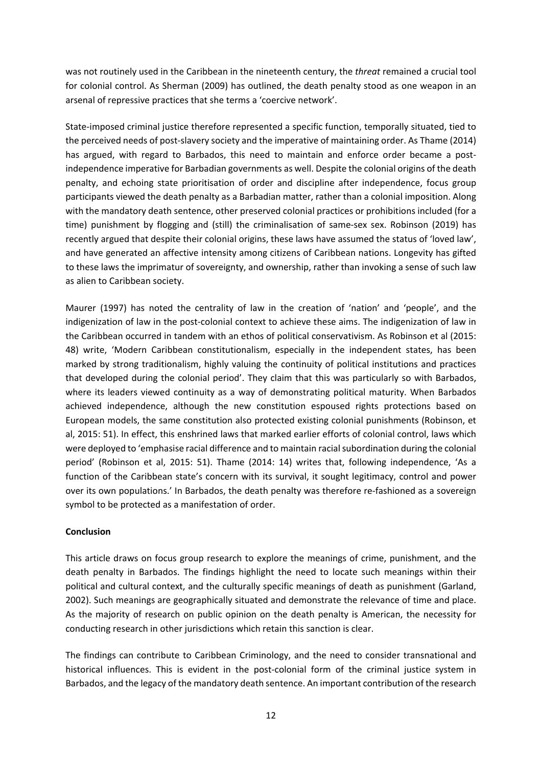was not routinely used in the Caribbean in the nineteenth century, the *threat* remained a crucial tool for colonial control. As Sherman (2009) has outlined, the death penalty stood as one weapon in an arsenal of repressive practices that she terms a 'coercive network'.

State-imposed criminal justice therefore represented a specific function, temporally situated, tied to the perceived needs of post-slavery society and the imperative of maintaining order. As Thame (2014) has argued, with regard to Barbados, this need to maintain and enforce order became a postindependence imperative for Barbadian governments as well. Despite the colonial origins of the death penalty, and echoing state prioritisation of order and discipline after independence, focus group participants viewed the death penalty as a Barbadian matter, rather than a colonial imposition. Along with the mandatory death sentence, other preserved colonial practices or prohibitions included (for a time) punishment by flogging and (still) the criminalisation of same-sex sex. Robinson (2019) has recently argued that despite their colonial origins, these laws have assumed the status of 'loved law', and have generated an affective intensity among citizens of Caribbean nations. Longevity has gifted to these laws the imprimatur of sovereignty, and ownership, rather than invoking a sense of such law as alien to Caribbean society.

Maurer (1997) has noted the centrality of law in the creation of 'nation' and 'people', and the indigenization of law in the post-colonial context to achieve these aims. The indigenization of law in the Caribbean occurred in tandem with an ethos of political conservativism. As Robinson et al (2015: 48) write, 'Modern Caribbean constitutionalism, especially in the independent states, has been marked by strong traditionalism, highly valuing the continuity of political institutions and practices that developed during the colonial period'. They claim that this was particularly so with Barbados, where its leaders viewed continuity as a way of demonstrating political maturity. When Barbados achieved independence, although the new constitution espoused rights protections based on European models, the same constitution also protected existing colonial punishments (Robinson, et al, 2015: 51). In effect, this enshrined laws that marked earlier efforts of colonial control, laws which were deployed to 'emphasise racial difference and to maintain racial subordination during the colonial period' (Robinson et al, 2015: 51). Thame (2014: 14) writes that, following independence, 'As a function of the Caribbean state's concern with its survival, it sought legitimacy, control and power over its own populations.' In Barbados, the death penalty was therefore re-fashioned as a sovereign symbol to be protected as a manifestation of order.

#### **Conclusion**

This article draws on focus group research to explore the meanings of crime, punishment, and the death penalty in Barbados. The findings highlight the need to locate such meanings within their political and cultural context, and the culturally specific meanings of death as punishment (Garland, 2002). Such meanings are geographically situated and demonstrate the relevance of time and place. As the majority of research on public opinion on the death penalty is American, the necessity for conducting research in other jurisdictions which retain this sanction is clear.

The findings can contribute to Caribbean Criminology, and the need to consider transnational and historical influences. This is evident in the post-colonial form of the criminal justice system in Barbados, and the legacy of the mandatory death sentence. An important contribution of the research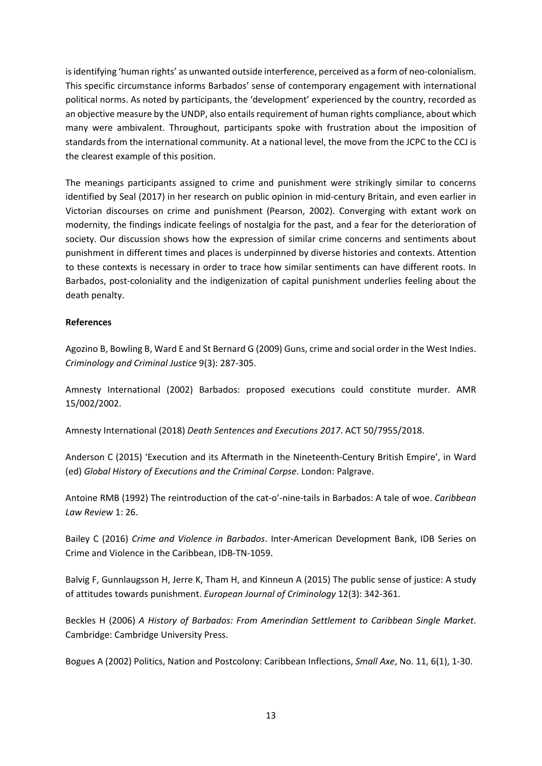is identifying 'human rights' as unwanted outside interference, perceived as a form of neo-colonialism. This specific circumstance informs Barbados' sense of contemporary engagement with international political norms. As noted by participants, the 'development' experienced by the country, recorded as an objective measure by the UNDP, also entails requirement of human rights compliance, about which many were ambivalent. Throughout, participants spoke with frustration about the imposition of standards from the international community. At a national level, the move from the JCPC to the CCJ is the clearest example of this position.

The meanings participants assigned to crime and punishment were strikingly similar to concerns identified by Seal (2017) in her research on public opinion in mid-century Britain, and even earlier in Victorian discourses on crime and punishment (Pearson, 2002). Converging with extant work on modernity, the findings indicate feelings of nostalgia for the past, and a fear for the deterioration of society. Our discussion shows how the expression of similar crime concerns and sentiments about punishment in different times and places is underpinned by diverse histories and contexts. Attention to these contexts is necessary in order to trace how similar sentiments can have different roots. In Barbados, post-coloniality and the indigenization of capital punishment underlies feeling about the death penalty.

#### **References**

Agozino B, Bowling B, Ward E and St Bernard G (2009) Guns, crime and social order in the West Indies. *Criminology and Criminal Justice* 9(3): 287-305.

Amnesty International (2002) Barbados: proposed executions could constitute murder. AMR 15/002/2002.

Amnesty International (2018) *Death Sentences and Executions 2017*. ACT 50/7955/2018.

Anderson C (2015) 'Execution and its Aftermath in the Nineteenth-Century British Empire', in Ward (ed) *Global History of Executions and the Criminal Corpse*. London: Palgrave.

Antoine RMB (1992) The reintroduction of the cat-o'-nine-tails in Barbados: A tale of woe. *Caribbean Law Review* 1: 26.

Bailey C (2016) *Crime and Violence in Barbados*. Inter-American Development Bank, IDB Series on Crime and Violence in the Caribbean, IDB-TN-1059.

Balvig F, Gunnlaugsson H, Jerre K, Tham H, and Kinneun A (2015) The public sense of justice: A study of attitudes towards punishment. *European Journal of Criminology* 12(3): 342-361.

Beckles H (2006) *A History of Barbados: From Amerindian Settlement to Caribbean Single Market*. Cambridge: Cambridge University Press.

Bogues A (2002) Politics, Nation and Postcolony: Caribbean Inflections, *Small Axe*, No. 11, 6(1), 1-30.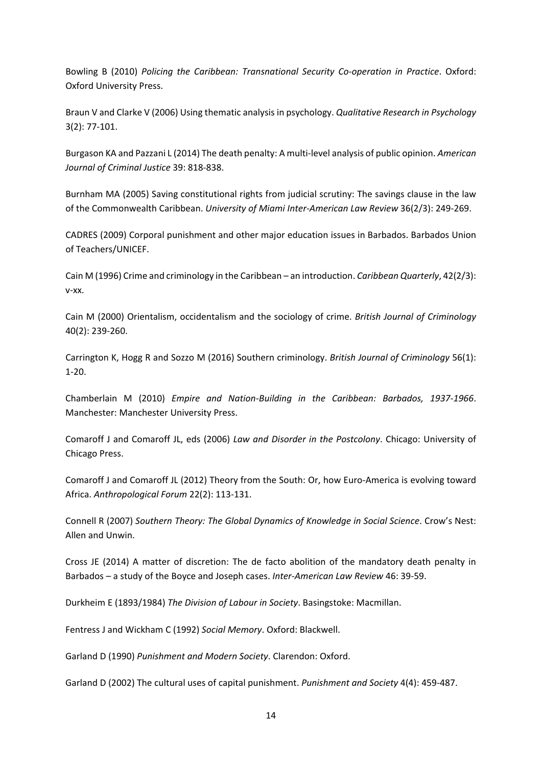Bowling B (2010) *Policing the Caribbean: Transnational Security Co-operation in Practice*. Oxford: Oxford University Press.

Braun V and Clarke V (2006) Using thematic analysis in psychology. *Qualitative Research in Psychology* 3(2): 77-101.

Burgason KA and Pazzani L (2014) The death penalty: A multi-level analysis of public opinion. *American Journal of Criminal Justice* 39: 818-838.

Burnham MA (2005) Saving constitutional rights from judicial scrutiny: The savings clause in the law of the Commonwealth Caribbean. *University of Miami Inter-American Law Review* 36(2/3): 249-269.

CADRES (2009) Corporal punishment and other major education issues in Barbados. Barbados Union of Teachers/UNICEF.

Cain M (1996) Crime and criminology in the Caribbean – an introduction. *Caribbean Quarterly*, 42(2/3): v-xx.

Cain M (2000) Orientalism, occidentalism and the sociology of crime. *British Journal of Criminology* 40(2): 239-260.

Carrington K, Hogg R and Sozzo M (2016) Southern criminology. *British Journal of Criminology* 56(1): 1-20.

Chamberlain M (2010) *Empire and Nation-Building in the Caribbean: Barbados, 1937-1966*. Manchester: Manchester University Press.

Comaroff J and Comaroff JL, eds (2006) *Law and Disorder in the Postcolony*. Chicago: University of Chicago Press.

Comaroff J and Comaroff JL (2012) Theory from the South: Or, how Euro-America is evolving toward Africa. *Anthropological Forum* 22(2): 113-131.

Connell R (2007) *Southern Theory: The Global Dynamics of Knowledge in Social Science*. Crow's Nest: Allen and Unwin.

Cross JE (2014) A matter of discretion: The de facto abolition of the mandatory death penalty in Barbados – a study of the Boyce and Joseph cases. *Inter-American Law Review* 46: 39-59.

Durkheim E (1893/1984) *The Division of Labour in Society*. Basingstoke: Macmillan.

Fentress J and Wickham C (1992) *Social Memory*. Oxford: Blackwell.

Garland D (1990) *Punishment and Modern Society*. Clarendon: Oxford.

Garland D (2002) The cultural uses of capital punishment. *Punishment and Society* 4(4): 459-487.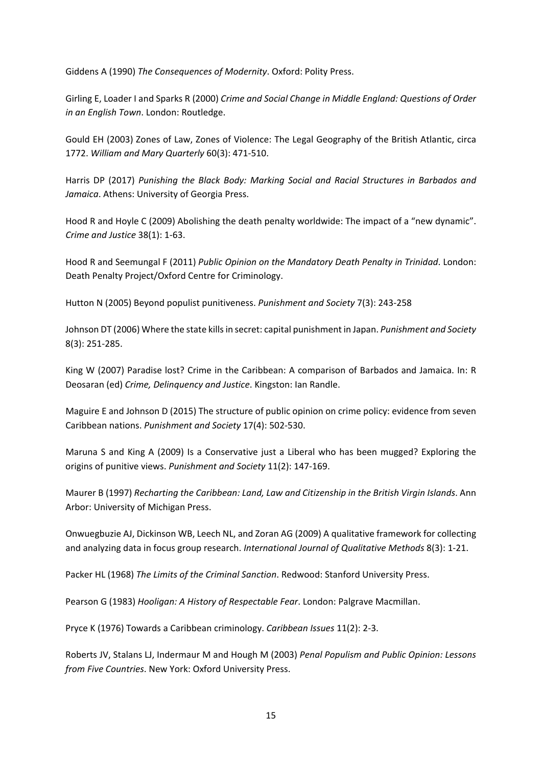Giddens A (1990) *The Consequences of Modernity*. Oxford: Polity Press.

Girling E, Loader I and Sparks R (2000) *Crime and Social Change in Middle England: Questions of Order in an English Town*. London: Routledge.

Gould EH (2003) Zones of Law, Zones of Violence: The Legal Geography of the British Atlantic, circa 1772. *William and Mary Quarterly* 60(3): 471-510.

Harris DP (2017) *Punishing the Black Body: Marking Social and Racial Structures in Barbados and Jamaica*. Athens: University of Georgia Press.

Hood R and Hoyle C (2009) Abolishing the death penalty worldwide: The impact of a "new dynamic". *Crime and Justice* 38(1): 1-63.

Hood R and Seemungal F (2011) *Public Opinion on the Mandatory Death Penalty in Trinidad*. London: Death Penalty Project/Oxford Centre for Criminology.

Hutton N (2005) Beyond populist punitiveness. *Punishment and Society* 7(3): 243-258

Johnson DT (2006) Where the state kills in secret: capital punishment in Japan. *Punishment and Society* 8(3): 251-285.

King W (2007) Paradise lost? Crime in the Caribbean: A comparison of Barbados and Jamaica. In: R Deosaran (ed) *Crime, Delinquency and Justice*. Kingston: Ian Randle.

Maguire E and Johnson D (2015) The structure of public opinion on crime policy: evidence from seven Caribbean nations. *Punishment and Society* 17(4): 502-530.

Maruna S and King A (2009) Is a Conservative just a Liberal who has been mugged? Exploring the origins of punitive views. *Punishment and Society* 11(2): 147-169.

Maurer B (1997) *Recharting the Caribbean: Land, Law and Citizenship in the British Virgin Islands*. Ann Arbor: University of Michigan Press.

Onwuegbuzie AJ, Dickinson WB, Leech NL, and Zoran AG (2009) A qualitative framework for collecting and analyzing data in focus group research. *International Journal of Qualitative Methods* 8(3): 1-21.

Packer HL (1968) *The Limits of the Criminal Sanction*. Redwood: Stanford University Press.

Pearson G (1983) *Hooligan: A History of Respectable Fear*. London: Palgrave Macmillan.

Pryce K (1976) Towards a Caribbean criminology. *Caribbean Issues* 11(2): 2-3.

Roberts JV, Stalans LJ, Indermaur M and Hough M (2003) *Penal Populism and Public Opinion: Lessons from Five Countries*. New York: Oxford University Press.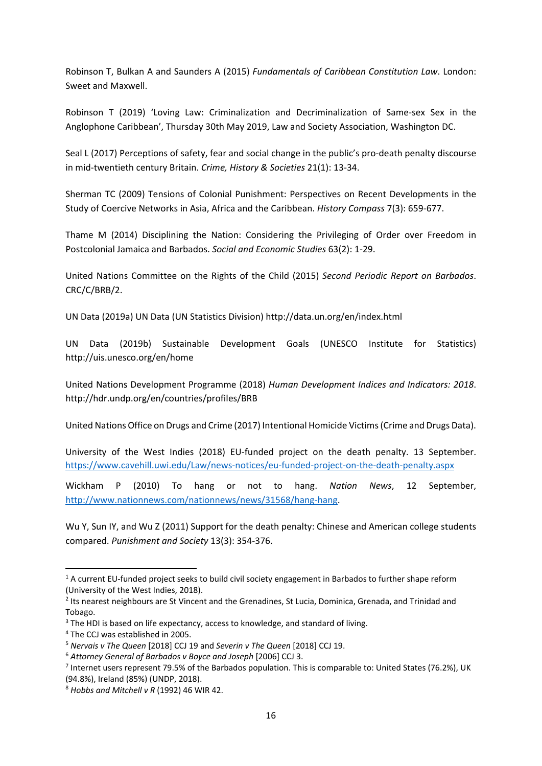Robinson T, Bulkan A and Saunders A (2015) *Fundamentals of Caribbean Constitution Law*. London: Sweet and Maxwell.

Robinson T (2019) 'Loving Law: Criminalization and Decriminalization of Same-sex Sex in the Anglophone Caribbean', Thursday 30th May 2019, Law and Society Association, Washington DC.

Seal L (2017) Perceptions of safety, fear and social change in the public's pro-death penalty discourse in mid-twentieth century Britain. *Crime, History & Societies* 21(1): 13-34.

Sherman TC (2009) Tensions of Colonial Punishment: Perspectives on Recent Developments in the Study of Coercive Networks in Asia, Africa and the Caribbean. *History Compass* 7(3): 659-677.

Thame M (2014) Disciplining the Nation: Considering the Privileging of Order over Freedom in Postcolonial Jamaica and Barbados. *Social and Economic Studies* 63(2): 1-29.

United Nations Committee on the Rights of the Child (2015) *Second Periodic Report on Barbados*. CRC/C/BRB/2.

UN Data (2019a) UN Data (UN Statistics Division) http://data.un.org/en/index.html

UN Data (2019b) Sustainable Development Goals (UNESCO Institute for Statistics) http://uis.unesco.org/en/home

United Nations Development Programme (2018) *Human Development Indices and Indicators: 2018*. http://hdr.undp.org/en/countries/profiles/BRB

United Nations Office on Drugs and Crime (2017) Intentional Homicide Victims (Crime and Drugs Data).

University of the West Indies (2018) EU-funded project on the death penalty. 13 September. <https://www.cavehill.uwi.edu/Law/news-notices/eu-funded-project-on-the-death-penalty.aspx>

Wickham P (2010) To hang or not to hang. *Nation News*, 12 September, [http://www.nationnews.com/nationnews/news/31568/hang-hang.](http://www.nationnews.com/nationnews/news/31568/hang-hang)

Wu Y, Sun IY, and Wu Z (2011) Support for the death penalty: Chinese and American college students compared. *Punishment and Society* 13(3): 354-376.

 $\overline{a}$ 

<sup>&</sup>lt;sup>1</sup> A current EU-funded project seeks to build civil society engagement in Barbados to further shape reform (University of the West Indies, 2018).

<sup>&</sup>lt;sup>2</sup> Its nearest neighbours are St Vincent and the Grenadines, St Lucia, Dominica, Grenada, and Trinidad and Tobago.

 $3$  The HDI is based on life expectancy, access to knowledge, and standard of living.

<sup>4</sup> The CCJ was established in 2005.

<sup>5</sup> *Nervais v The Queen* [2018] CCJ 19 and *Severin v The Queen* [2018] CCJ 19.

<sup>6</sup> *Attorney General of Barbados v Boyce and Joseph* [2006] CCJ 3.

<sup>7</sup> Internet users represent 79.5% of the Barbados population. This is comparable to: United States (76.2%), UK (94.8%), Ireland (85%) (UNDP, 2018).

<sup>8</sup> *Hobbs and Mitchell v R* (1992) 46 WIR 42.